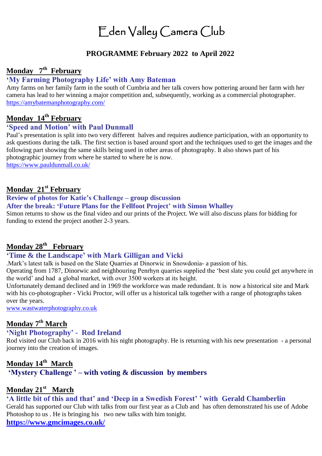# Eden Valley Camera Club

## **PROGRAMME February 2022 to April 2022**

### **Monday 7 th February**

# **'My Farming Photography Life' with Amy Bateman**

Amy farms on her family farm in the south of Cumbria and her talk covers how pottering around her farm with her camera has lead to her winning a major competition and, subsequently, working as a commercial photographer. <https://amybatemanphotography.com/>

# **Monday 14th February**

## **'Speed and Motion' with Paul Dunmall**

Paul's presentation is split into two very different halves and requires audience participation, with an opportunity to ask questions during the talk. The first section is based around sport and the techniques used to get the images and the following part showing the same skills being used in other areas of photography. It also shows part of his photographic journey from where he started to where he is now.

<https://www.pauldunmall.co.uk/>

#### **Monday 21st February**

**Review of photos for Katie's Challenge – group discussion** 

**After the break: 'Future Plans for the Fellfoot Project' with Simon Whalley**

Simon returns to show us the final video and our prints of the Project. We will also discuss plans for bidding for funding to extend the project another 2-3 years.

## **Monday 28th February**

#### **'Time & the Landscape' with Mark Gilligan and Vicki**

.Mark's latest talk is based on the Slate Quarries at Dinorwic in Snowdonia- a passion of his.

Operating from 1787, Dinorwic and neighbouring Penrhyn quarries supplied the 'best slate you could get anywhere in the world' and had a global market, with over 3500 workers at its height.

Unfortunately demand declined and in 1969 the workforce was made redundant. It is now a historical site and Mark with his co-photographer - Vicki Proctor, will offer us a historical talk together with a range of photographs taken over the years.

[www.wastwaterphotography.co.uk](http://www.wastwaterphotography.co.uk/)

### **Monday 7 th March**

#### **'Night Photography' - Rod Ireland**

Rod visited our Club back in 2016 with his night photography. He is returning with his new presentation - a personal journey into the creation of images.

#### **Monday 14 th March**

**'Mystery Challenge ' – with voting & discussion by members**

## **Monday 21 st March**

# **'A little bit of this and that' and 'Deep in a Swedish Forest' ' with Gerald Chamberlin**

Gerald has supported our Club with talks from our first year as a Club and has often demonstrated his use of Adobe Photoshop to us . He is bringing his two new talks with him tonight.

**<https://www.gmcimages.co.uk/>**